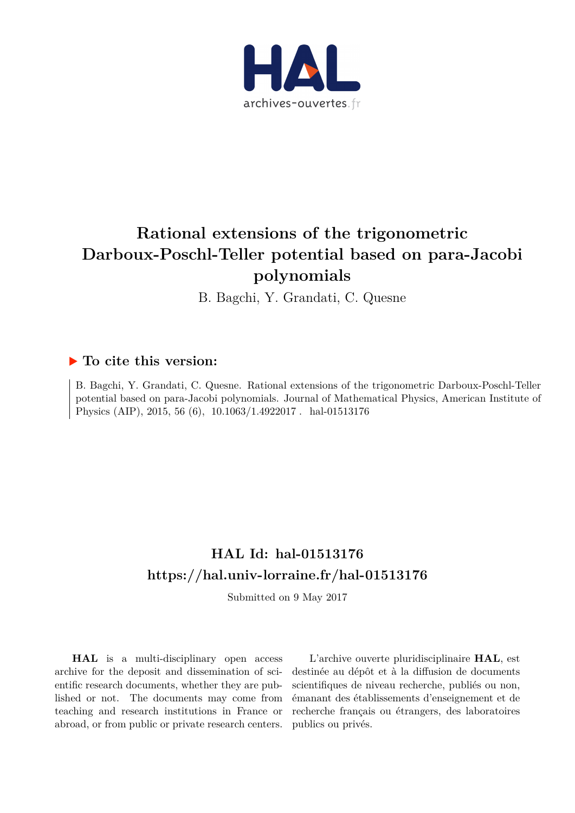

# **Rational extensions of the trigonometric Darboux-Poschl-Teller potential based on para-Jacobi polynomials**

B. Bagchi, Y. Grandati, C. Quesne

## **To cite this version:**

B. Bagchi, Y. Grandati, C. Quesne. Rational extensions of the trigonometric Darboux-Poschl-Teller potential based on para-Jacobi polynomials. Journal of Mathematical Physics, American Institute of Physics (AIP), 2015, 56 (6),  $10.1063/1.4922017$ . hal-01513176

## **HAL Id: hal-01513176 <https://hal.univ-lorraine.fr/hal-01513176>**

Submitted on 9 May 2017

**HAL** is a multi-disciplinary open access archive for the deposit and dissemination of scientific research documents, whether they are published or not. The documents may come from teaching and research institutions in France or abroad, or from public or private research centers.

L'archive ouverte pluridisciplinaire **HAL**, est destinée au dépôt et à la diffusion de documents scientifiques de niveau recherche, publiés ou non, émanant des établissements d'enseignement et de recherche français ou étrangers, des laboratoires publics ou privés.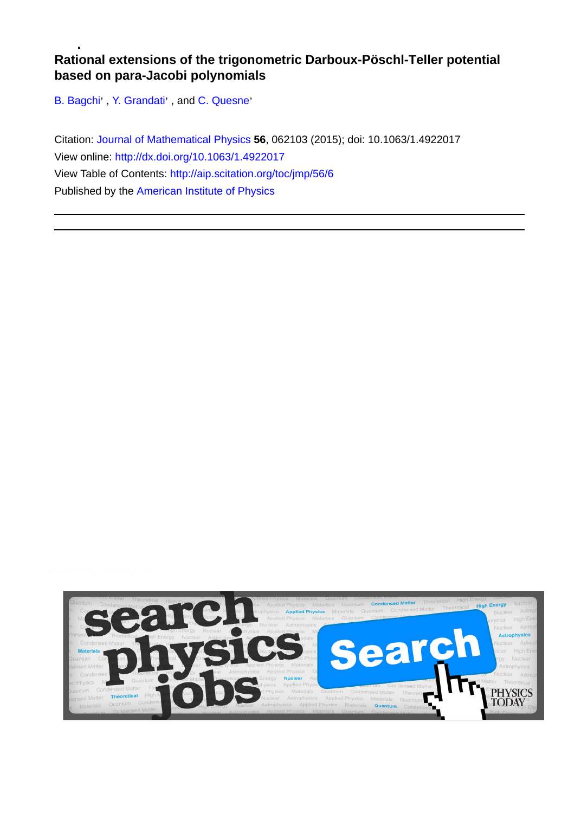### **Rational extensions of the trigonometric Darboux-Pöschl-Teller potential based on para-Jacobi polynomials**

[B. Bagchi](http://aip.scitation.org/author/Bagchi%2C+B)', [Y. Grandati](http://aip.scitation.org/author/Grandati%2C+Y)', and C. Quesne'

Citation: [Journal of Mathematical Physics](/loi/jmp) **56**, 062103 (2015); doi: 10.1063/1.4922017 View online:<http://dx.doi.org/10.1063/1.4922017> View Table of Contents:<http://aip.scitation.org/toc/jmp/56/6> Published by the [American Institute of Physics](http://aip.scitation.org/publisher/)

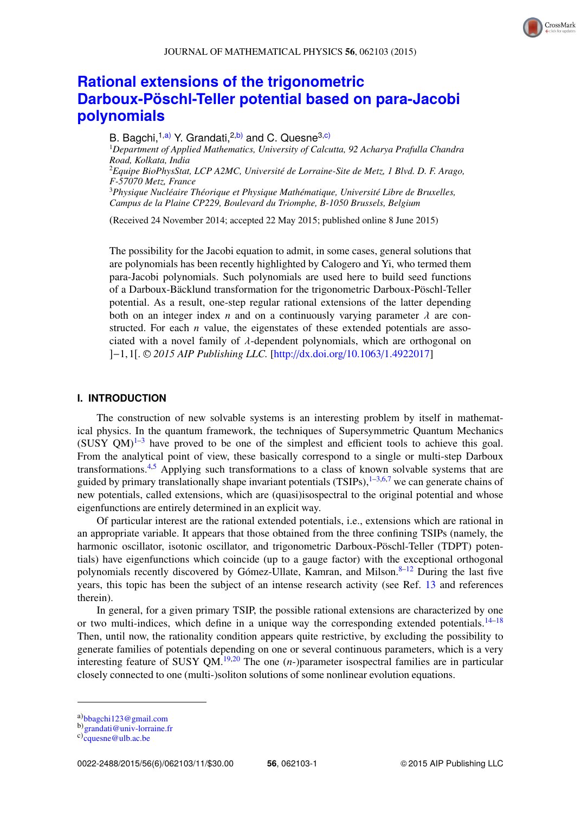## **[Rational extensions of the trigonometric](http://dx.doi.org/10.1063/1.4922017) [Darboux-Pöschl-Teller potential based on para-Jacobi](http://dx.doi.org/10.1063/1.4922017) [polynomials](http://dx.doi.org/10.1063/1.4922017)**

B. Bagchi,<sup>1[,a\)](#page-2-0)</sup> Y. Grandati,<sup>2[,b\)](#page-2-1)</sup> and C. Quesne<sup>3[,c\)](#page-2-2)</sup> <sup>1</sup>*Department of Applied Mathematics, University of Calcutta, 92 Acharya Prafulla Chandra Road, Kolkata, India* <sup>2</sup>*Equipe BioPhysStat, LCP A2MC, Université de Lorraine-Site de Metz, 1 Blvd. D. F. Arago, F-57070 Metz, France* <sup>3</sup>*Physique Nucléaire Théorique et Physique Mathématique, Université Libre de Bruxelles, Campus de la Plaine CP229, Boulevard du Triomphe, B-1050 Brussels, Belgium*

(Received 24 November 2014; accepted 22 May 2015; published online 8 June 2015)

The possibility for the Jacobi equation to admit, in some cases, general solutions that are polynomials has been recently highlighted by Calogero and Yi, who termed them para-Jacobi polynomials. Such polynomials are used here to build seed functions of a Darboux-Bäcklund transformation for the trigonometric Darboux-Pöschl-Teller potential. As a result, one-step regular rational extensions of the latter depending both on an integer index *n* and on a continuously varying parameter  $\lambda$  are constructed. For each  $n$  value, the eigenstates of these extended potentials are associated with a novel family of  $\lambda$ -dependent polynomials, which are orthogonal on ]−1,1[. <sup>C</sup> *2015 AIP Publishing LLC.* [\[http:](http://dx.doi.org/10.1063/1.4922017)//[dx.doi.org](http://dx.doi.org/10.1063/1.4922017)/[10.1063](http://dx.doi.org/10.1063/1.4922017)/[1.4922017\]](http://dx.doi.org/10.1063/1.4922017)

#### **I. INTRODUCTION**

The construction of new solvable systems is an interesting problem by itself in mathematical physics. In the quantum framework, the techniques of Supersymmetric Quantum Mechanics  $(SUSY \text{ QM})$ <sup>[1](#page-12-0)-3</sup> have proved to be one of the simplest and efficient tools to achieve this goal. From the analytical point of view, these basically correspond to a single or multi-step Darboux transformations.[4](#page-12-2)[,5](#page-12-3) Applying such transformations to a class of known solvable systems that are guided by primary translationally shape invariant potentials (TSIPs),  $1-3,6,7$  $1-3,6,7$  $1-3,6,7$  $1-3,6,7$  we can generate chains of new potentials, called extensions, which are (quasi)isospectral to the original potential and whose eigenfunctions are entirely determined in an explicit way.

Of particular interest are the rational extended potentials, i.e., extensions which are rational in an appropriate variable. It appears that those obtained from the three confining TSIPs (namely, the harmonic oscillator, isotonic oscillator, and trigonometric Darboux-Pöschl-Teller (TDPT) potentials) have eigenfunctions which coincide (up to a gauge factor) with the exceptional orthogonal polynomials recently discovered by Gómez-Ullate, Kamran, and Milson.<sup>[8–](#page-12-6)[12](#page-12-7)</sup> During the last five years, this topic has been the subject of an intense research activity (see Ref. [13](#page-12-8) and references therein).

In general, for a given primary TSIP, the possible rational extensions are characterized by one or two multi-indices, which define in a unique way the corresponding extended potentials.<sup>[14–](#page-12-9)[18](#page-12-10)</sup> Then, until now, the rationality condition appears quite restrictive, by excluding the possibility to generate families of potentials depending on one or several continuous parameters, which is a very interesting feature of SUSY QM.<sup>[19,](#page-12-11)[20](#page-12-12)</sup> The one  $(n)$ -parameter isospectral families are in particular closely connected to one (multi-)soliton solutions of some nonlinear evolution equations.

<span id="page-2-0"></span>a)[bbagchi123@gmail.com](mailto:bbagchi123@gmail.com)

<span id="page-2-1"></span>b)[grandati@univ-lorraine.fr](mailto:grandati@univ-lorraine.fr)

<span id="page-2-2"></span>c)[cquesne@ulb.ac.be](mailto:cquesne@ulb.ac.be)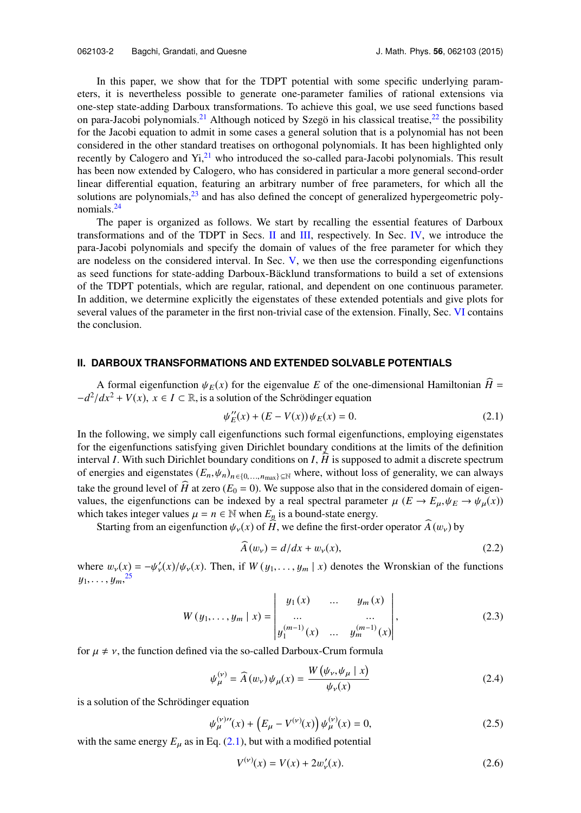In this paper, we show that for the TDPT potential with some specific underlying parameters, it is nevertheless possible to generate one-parameter families of rational extensions via one-step state-adding Darboux transformations. To achieve this goal, we use seed functions based on para-Jacobi polynomials.<sup>[21](#page-12-13)</sup> Although noticed by Szegö in his classical treatise,<sup>[22](#page-12-14)</sup> the possibility for the Jacobi equation to admit in some cases a general solution that is a polynomial has not been considered in the other standard treatises on orthogonal polynomials. It has been highlighted only recently by Calogero and  $yi<sub>1</sub><sup>21</sup>$  $yi<sub>1</sub><sup>21</sup>$  $yi<sub>1</sub><sup>21</sup>$  who introduced the so-called para-Jacobi polynomials. This result has been now extended by Calogero, who has considered in particular a more general second-order linear differential equation, featuring an arbitrary number of free parameters, for which all the solutions are polynomials, $2<sup>3</sup>$  and has also defined the concept of generalized hypergeometric polynomials.[24](#page-12-16)

The paper is organized as follows. We start by recalling the essential features of Darboux transformations and of the TDPT in Secs. [II](#page-3-0) and [III,](#page-4-0) respectively. In Sec. [IV,](#page-6-0) we introduce the para-Jacobi polynomials and specify the domain of values of the free parameter for which they are nodeless on the considered interval. In Sec. [V,](#page-9-0) we then use the corresponding eigenfunctions as seed functions for state-adding Darboux-Bäcklund transformations to build a set of extensions of the TDPT potentials, which are regular, rational, and dependent on one continuous parameter. In addition, we determine explicitly the eigenstates of these extended potentials and give plots for several values of the parameter in the first non-trivial case of the extension. Finally, Sec. [VI](#page-11-0) contains the conclusion.

#### <span id="page-3-0"></span>**II. DARBOUX TRANSFORMATIONS AND EXTENDED SOLVABLE POTENTIALS**

A formal eigenfunction  $\psi_E(x)$  for the eigenvalue *E* of the one-dimensional Hamiltonian *H* =  $-d^2/dx^2 + V(x)$ ,  $x \in I \subset \mathbb{R}$ , is a solution of the Schrödinger equation

<span id="page-3-1"></span>
$$
\psi_E''(x) + (E - V(x))\psi_E(x) = 0.
$$
\n(2.1)

In the following, we simply call eigenfunctions such formal eigenfunctions, employing eigenstates for the eigenfunctions satisfying given Dirichlet boundary conditions at the limits of the definition interval *<sup>I</sup>*. With such Dirichlet boundary conditions on *<sup>I</sup>*, *<sup>H</sup>* is supposed to admit a discrete spectrum of energies and eigenstates  $(E_n, \psi_n)_{n \in \{0, ..., n_{\text{max}}\} \subseteq \mathbb{N}}$  where, without loss of generality, we can always take the ground level of  $\widehat{H}$  at zero ( $E_0 = 0$ ). We suppose also that in the considered domain of eigenvalues, the eigenfunctions can be indexed by a real spectral parameter  $\mu$  ( $E \to E_{\mu}, \psi_E \to \psi_{\mu}(x)$ ) which takes integer values  $\mu = n \in \mathbb{N}$  when  $E_n$  is a bound-state energy.

Starting from an eigenfunction  $\psi_{\nu}(x)$  of  $\widehat{H}$ , we define the first-order operator  $\widehat{A}(w_{\nu})$  by

$$
\widehat{A}(w_{\nu}) = d/dx + w_{\nu}(x),\tag{2.2}
$$

where  $w_{\nu}(x) = -\psi_{\nu}'$  $\psi(x)/\psi_v(x)$ . Then, if  $W(y_1,\ldots,y_m | x)$  denotes the Wronskian of the functions  $y_1, \ldots, y_m, \frac{25}{25}$  $y_1, \ldots, y_m, \frac{25}{25}$  $y_1, \ldots, y_m, \frac{25}{25}$ 

$$
W(y_1, ..., y_m | x) = \begin{vmatrix} y_1(x) & \dots & y_m(x) \\ \dots & & \dots & \\ y_1^{(m-1)}(x) & \dots & y_m^{(m-1)}(x) \end{vmatrix},
$$
 (2.3)

for  $\mu \neq \nu$ , the function defined via the so-called Darboux-Crum formula

$$
\psi_{\mu}^{(\nu)} = \widehat{A}(w_{\nu})\psi_{\mu}(x) = \frac{W(\psi_{\nu}, \psi_{\mu} \mid x)}{\psi_{\nu}(x)}
$$
(2.4)

is a solution of the Schrödinger equation

$$
\psi_{\mu}^{(\nu)\prime\prime}(x) + \left(E_{\mu} - V^{(\nu)}(x)\right)\psi_{\mu}^{(\nu)}(x) = 0, \tag{2.5}
$$

with the same energy  $E_{\mu}$  as in Eq. [\(2.1\),](#page-3-1) but with a modified potential

<span id="page-3-3"></span><span id="page-3-2"></span>
$$
V^{(\nu)}(x) = V(x) + 2w'_{\nu}(x). \tag{2.6}
$$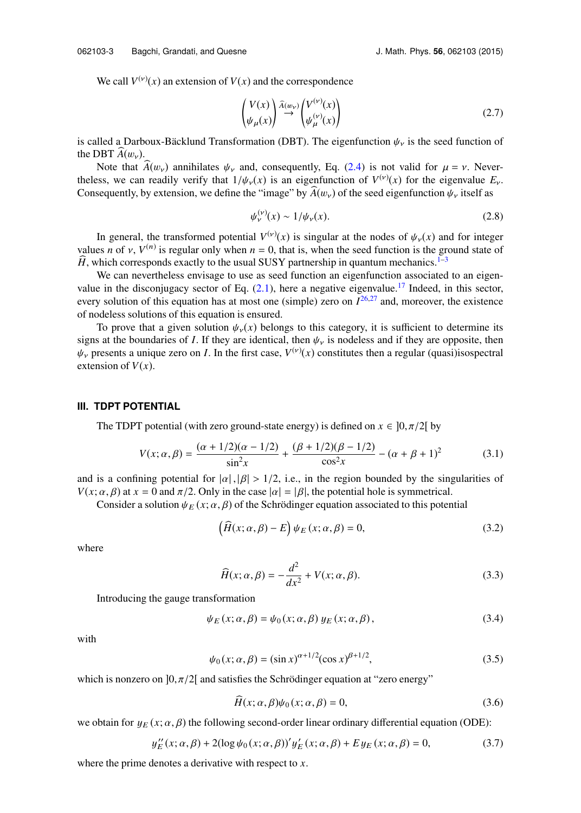We call  $V^{(v)}(x)$  an extension of  $V(x)$  and the correspondence

$$
\begin{pmatrix} V(x) \\ \psi_{\mu}(x) \end{pmatrix} \stackrel{\widehat{A}(w_{\mathcal{V}})}{\rightarrow} \begin{pmatrix} V^{(\mathcal{V})}(x) \\ \psi_{\mu}^{(\mathcal{V})}(x) \end{pmatrix}
$$
\n(2.7)

is called a Darboux-Bäcklund Transformation (DBT). The eigenfunction  $\psi_{\nu}$  is the seed function of the DBT  $A(w_v)$ .

Note that  $\widehat{A}(w_v)$  annihilates  $\psi_v$  and, consequently, Eq. [\(2.4\)](#page-3-2) is not valid for  $\mu = v$ . Nevertheless, we can readily verify that  $1/\psi_y(x)$  is an eigenfunction of  $V^{(v)}(x)$  for the eigenvalue  $E_y$ .<br>Consequently by extension we define the "image" by  $\widehat{A}(w)$  of the seed eigenfunction  $\psi$  itself as Consequently, by extension, we define the "image" by  $A(w_v)$  of the seed eigenfunction  $\psi_v$  itself as

$$
\psi_{\nu}^{(\nu)}(x) \sim 1/\psi_{\nu}(x). \tag{2.8}
$$

In general, the transformed potential  $V^{(\nu)}(x)$  is singular at the nodes of  $\psi_{\nu}(x)$  and for integer  $\rho$  of  $\nu$   $V^{(n)}$  is require only when  $n-0$  that is when the seed function is the ground state of values *n* of *v*,  $V^{(n)}$  is regular only when  $n = 0$ , that is, when the seed function is the ground state of  $\hat{H}$  which corresponds exactly to the usual SUSY partnership in quantum mechanics  $1-3$ *H*, which corresponds exactly to the usual SUSY partnership in quantum mechanics.<sup>[1](#page-12-0)[–3](#page-12-1)</sup>

We can nevertheless envisage to use as seed function an eigenfunction associated to an eigenvalue in the disconjugacy sector of Eq.  $(2.1)$ , here a negative eigenvalue.<sup>[17](#page-12-18)</sup> Indeed, in this sector, every solution of this equation has at most one (simple) zero on *I* [26](#page-12-19)[,27](#page-12-20) and, moreover, the existence of nodeless solutions of this equation is ensured.

To prove that a given solution  $\psi_{\nu}(x)$  belongs to this category, it is sufficient to determine its signs at the boundaries of *I*. If they are identical, then  $\psi_{\nu}$  is nodeless and if they are opposite, then  $\psi_{\nu}$  presents a unique zero on *I*. In the first case,  $V^{(\nu)}(x)$  constitutes then a regular (quasi)isospectral extension of  $V(x)$ extension of  $V(x)$ .

#### <span id="page-4-0"></span>**III. TDPT POTENTIAL**

The TDPT potential (with zero ground-state energy) is defined on  $x \in [0, \pi/2[$  by

$$
V(x; \alpha, \beta) = \frac{(\alpha + 1/2)(\alpha - 1/2)}{\sin^2 x} + \frac{(\beta + 1/2)(\beta - 1/2)}{\cos^2 x} - (\alpha + \beta + 1)^2
$$
(3.1)

and is a confining potential for  $|\alpha|, |\beta| > 1/2$ , i.e., in the region bounded by the singularities of  $V(x; \alpha, \beta)$  at  $x = 0$  and  $\pi/2$ . Only in the case  $|\alpha| = |\beta|$ , the potential hole is symmetrical.

Consider a solution  $\psi_E(x; \alpha, \beta)$  of the Schrödinger equation associated to this potential

$$
\left(\widehat{H}(x;\alpha,\beta)-E\right)\psi_E(x;\alpha,\beta)=0,\tag{3.2}
$$

where

$$
\widehat{H}(x; \alpha, \beta) = -\frac{d^2}{dx^2} + V(x; \alpha, \beta).
$$
\n(3.3)

Introducing the gauge transformation

$$
\psi_E(x; \alpha, \beta) = \psi_0(x; \alpha, \beta) y_E(x; \alpha, \beta), \qquad (3.4)
$$

with

$$
\psi_0(x; \alpha, \beta) = (\sin x)^{\alpha + 1/2} (\cos x)^{\beta + 1/2},
$$
\n(3.5)

which is nonzero on  $]0, \pi/2[$  and satisfies the Schrödinger equation at "zero energy"

$$
\widehat{H}(x; \alpha, \beta)\psi_0(x; \alpha, \beta) = 0, \qquad (3.6)
$$

we obtain for  $y_F(x; \alpha, \beta)$  the following second-order linear ordinary differential equation (ODE):

$$
y_E''(x; \alpha, \beta) + 2(\log \psi_0(x; \alpha, \beta))' y_E'(x; \alpha, \beta) + E y_E(x; \alpha, \beta) = 0,
$$
 (3.7)

where the prime denotes a derivative with respect to *x*.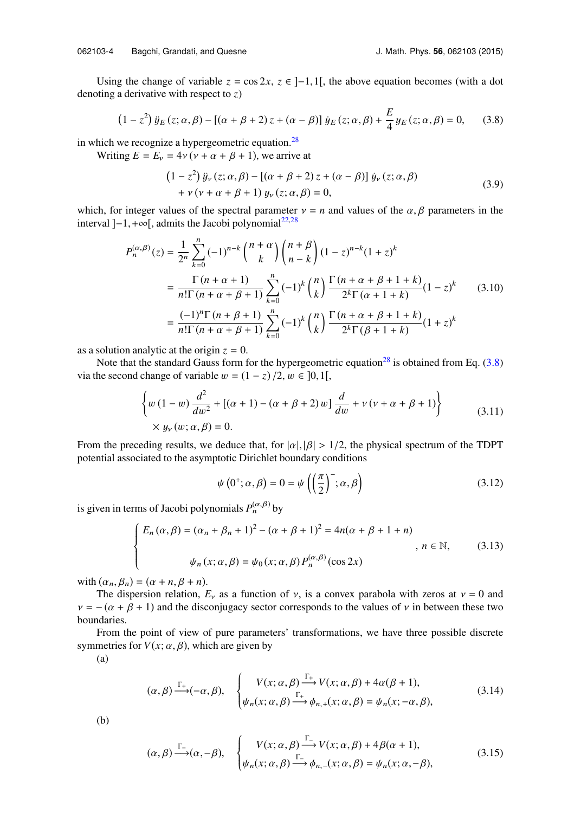Using the change of variable  $z = \cos 2x$ ,  $z \in ]-1,1[$ , the above equation becomes (with a dot denoting a derivative with respect to *z*)

$$
(1 - z2) \ddot{y}_E(z; \alpha, \beta) - [( \alpha + \beta + 2) z + (\alpha - \beta) ] \dot{y}_E(z; \alpha, \beta) + \frac{E}{4} y_E(z; \alpha, \beta) = 0, \quad (3.8)
$$

in which we recognize a hypergeometric equation. $^{28}$  $^{28}$  $^{28}$ 

Writing  $E = E_v = 4v(v + \alpha + \beta + 1)$ , we arrive at

<span id="page-5-0"></span>
$$
(1 - z2) \ddot{y}_{\nu}(z; \alpha, \beta) - [(\alpha + \beta + 2)z + (\alpha - \beta)] \dot{y}_{\nu}(z; \alpha, \beta)
$$
  
+  $\nu (\nu + \alpha + \beta + 1) y_{\nu}(z; \alpha, \beta) = 0,$  (3.9)

which, for integer values of the spectral parameter  $v = n$  and values of the  $\alpha$ ,  $\beta$  parameters in the interval  $]-1,+\infty[$ , admits the Jacobi polynomial<sup>[22](#page-12-14)[,28](#page-12-21)</sup>

$$
P_n^{(\alpha,\beta)}(z) = \frac{1}{2^n} \sum_{k=0}^n (-1)^{n-k} {n+\alpha \choose k} {n+\beta \choose n-k} (1-z)^{n-k} (1+z)^k
$$
  
= 
$$
\frac{\Gamma(n+\alpha+1)}{n!\Gamma(n+\alpha+\beta+1)} \sum_{k=0}^n (-1)^k {n \choose k} \frac{\Gamma(n+\alpha+\beta+1+k)}{2^k \Gamma(\alpha+1+k)} (1-z)^k
$$
(3.10)  
= 
$$
\frac{(-1)^n \Gamma(n+\beta+1)}{n!\Gamma(n+\alpha+\beta+1)} \sum_{k=0}^n (-1)^k {n \choose k} \frac{\Gamma(n+\alpha+\beta+1+k)}{2^k \Gamma(\beta+1+k)} (1+z)^k
$$

as a solution analytic at the origin  $z = 0$ .

Note that the standard Gauss form for the hypergeometric equation<sup>[28](#page-12-21)</sup> is obtained from Eq. [\(3.8\)](#page-5-0) via the second change of variable  $w = (1 - z)/2, w \in [0, 1]$ ,

$$
\left\{ w (1 - w) \frac{d^2}{dw^2} + [(\alpha + 1) - (\alpha + \beta + 2) w] \frac{d}{dw} + v (v + \alpha + \beta + 1) \right\} \times y_{\nu}(w; \alpha, \beta) = 0.
$$
\n(3.11)

From the preceding results, we deduce that, for  $|\alpha|, |\beta| > 1/2$ , the physical spectrum of the TDPT potential associated to the asymptotic Dirichlet boundary conditions

$$
\psi\left(0^+;\alpha,\beta\right) = 0 = \psi\left(\left(\frac{\pi}{2}\right)^-;\alpha,\beta\right) \tag{3.12}
$$

is given in terms of Jacobi polynomials  $P_n^{(\alpha,\beta)}$  by

$$
\begin{cases}\nE_n(\alpha, \beta) = (\alpha_n + \beta_n + 1)^2 - (\alpha + \beta + 1)^2 = 4n(\alpha + \beta + 1 + n) \\
& n \in \mathbb{N}, \quad (3.13) \\
\psi_n(x; \alpha, \beta) = \psi_0(x; \alpha, \beta) P_n^{(\alpha, \beta)}(\cos 2x)\n\end{cases}
$$

with  $(\alpha_n, \beta_n) = (\alpha + n, \beta + n)$ .

The dispersion relation,  $E_v$  as a function of  $v$ , is a convex parabola with zeros at  $v = 0$  and  $v = -(\alpha + \beta + 1)$  and the disconjugacy sector corresponds to the values of v in between these two boundaries.

From the point of view of pure parameters' transformations, we have three possible discrete symmetries for  $V(x; \alpha, \beta)$ , which are given by

(a)

$$
(\alpha, \beta) \xrightarrow{\Gamma_{+}} (-\alpha, \beta), \quad \begin{cases} V(x; \alpha, \beta) \xrightarrow{\Gamma_{+}} V(x; \alpha, \beta) + 4\alpha(\beta + 1), \\ \psi_{n}(x; \alpha, \beta) \xrightarrow{\Gamma_{+}} \phi_{n,+}(x; \alpha, \beta) = \psi_{n}(x; -\alpha, \beta), \end{cases} (3.14)
$$

(b)

$$
(\alpha, \beta) \xrightarrow{\Gamma_{-}} (\alpha, -\beta), \quad \begin{cases} V(x; \alpha, \beta) \xrightarrow{\Gamma_{-}} V(x; \alpha, \beta) + 4\beta(\alpha + 1), \\ \psi_{n}(x; \alpha, \beta) \xrightarrow{\Gamma_{-}} \phi_{n,-}(x; \alpha, \beta) = \psi_{n}(x; \alpha, -\beta), \end{cases} \tag{3.15}
$$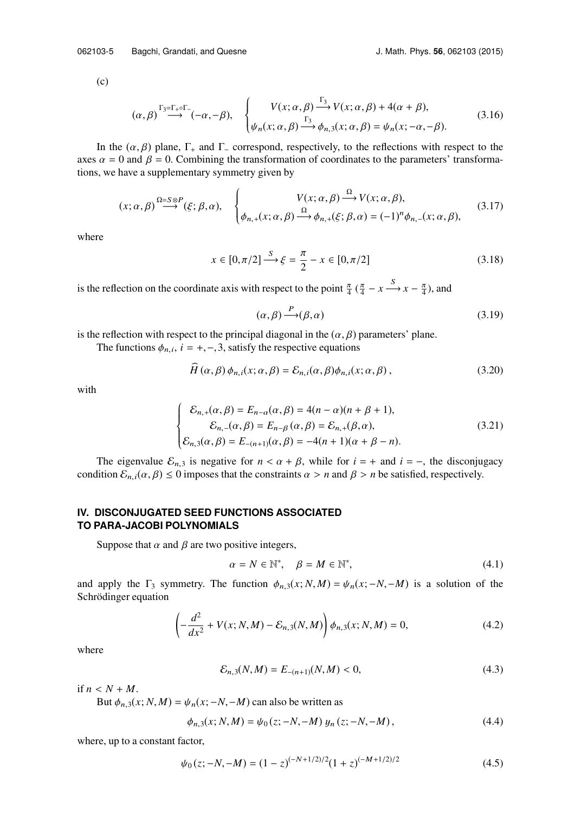(c)

$$
(\alpha, \beta) \stackrel{\Gamma_3 = \Gamma_+ \circ \Gamma_-}{\longrightarrow} (-\alpha, -\beta), \quad \begin{cases} V(x; \alpha, \beta) \stackrel{\Gamma_3}{\longrightarrow} V(x; \alpha, \beta) + 4(\alpha + \beta), \\ \psi_n(x; \alpha, \beta) \stackrel{\Gamma_3}{\longrightarrow} \phi_{n,3}(x; \alpha, \beta) = \psi_n(x; -\alpha, -\beta). \end{cases} (3.16)
$$

In the  $(\alpha, \beta)$  plane,  $\Gamma_+$  and  $\Gamma_-$  correspond, respectively, to the reflections with respect to the axes  $\alpha = 0$  and  $\beta = 0$ . Combining the transformation of coordinates to the parameters' transformations, we have a supplementary symmetry given by

$$
(x; \alpha, \beta) \stackrel{\Omega = S \otimes P}{\longrightarrow} (\xi; \beta, \alpha), \quad \begin{cases} V(x; \alpha, \beta) \stackrel{\Omega}{\longrightarrow} V(x; \alpha, \beta), \\ \phi_{n,+}(x; \alpha, \beta) \stackrel{\Omega}{\longrightarrow} \phi_{n,+}(\xi; \beta, \alpha) = (-1)^n \phi_{n,-}(x; \alpha, \beta), \end{cases} (3.17)
$$

where

$$
x \in [0, \pi/2] \xrightarrow{S} \xi = \frac{\pi}{2} - x \in [0, \pi/2]
$$
 (3.18)

is the reflection on the coordinate axis with respect to the point  $\frac{\pi}{4}$  ( $\frac{\pi}{4}$  – *x*  $\frac{S}{4}$ ), and

<span id="page-6-2"></span>
$$
(\alpha, \beta) \stackrel{P}{\longrightarrow} (\beta, \alpha) \tag{3.19}
$$

is the reflection with respect to the principal diagonal in the  $(\alpha, \beta)$  parameters' plane.

The functions  $\phi_{n,i}$ ,  $i = +, -, 3$ , satisfy the respective equations

$$
\widehat{H}(\alpha,\beta)\phi_{n,i}(x;\alpha,\beta) = \mathcal{E}_{n,i}(\alpha,\beta)\phi_{n,i}(x;\alpha,\beta),
$$
\n(3.20)

with

$$
\begin{cases}\n\mathcal{E}_{n,+}(\alpha,\beta) = E_{n-\alpha}(\alpha,\beta) = 4(n-\alpha)(n+\beta+1), \\
\mathcal{E}_{n,-}(\alpha,\beta) = E_{n-\beta}(\alpha,\beta) = \mathcal{E}_{n,+}(\beta,\alpha), \\
\mathcal{E}_{n,3}(\alpha,\beta) = E_{-(n+1)}(\alpha,\beta) = -4(n+1)(\alpha+\beta-n).\n\end{cases}
$$
\n(3.21)

<span id="page-6-0"></span>The eigenvalue  $\mathcal{E}_{n,3}$  is negative for  $n < \alpha + \beta$ , while for  $i = +$  and  $i = -$ , the disconjugacy condition  $\mathcal{E}_{n,i}(\alpha,\beta) \leq 0$  imposes that the constraints  $\alpha > n$  and  $\beta > n$  be satisfied, respectively.

#### **IV. DISCONJUGATED SEED FUNCTIONS ASSOCIATED TO PARA-JACOBI POLYNOMIALS**

Suppose that  $\alpha$  and  $\beta$  are two positive integers,

<span id="page-6-1"></span>
$$
\alpha = N \in \mathbb{N}^*, \quad \beta = M \in \mathbb{N}^*, \tag{4.1}
$$

and apply the  $\Gamma_3$  symmetry. The function  $\phi_{n,3}(x; N, M) = \psi_n(x; -N, -M)$  is a solution of the Schrödinger equation

$$
\left(-\frac{d^2}{dx^2} + V(x; N, M) - \mathcal{E}_{n,3}(N, M)\right)\phi_{n,3}(x; N, M) = 0,
$$
\n(4.2)

where

$$
\mathcal{E}_{n,3}(N,M) = E_{-(n+1)}(N,M) < 0,\tag{4.3}
$$

if  $n < N + M$ .

But  $\phi_{n,3}(x; N, M) = \psi_n(x; -N, -M)$  can also be written as

$$
\phi_{n,3}(x; N, M) = \psi_0(z; -N, -M) y_n(z; -N, -M), \qquad (4.4)
$$

where, up to a constant factor,

$$
\psi_0(z; -N, -M) = (1-z)^{(-N+1/2)/2} (1+z)^{(-M+1/2)/2}
$$
\n(4.5)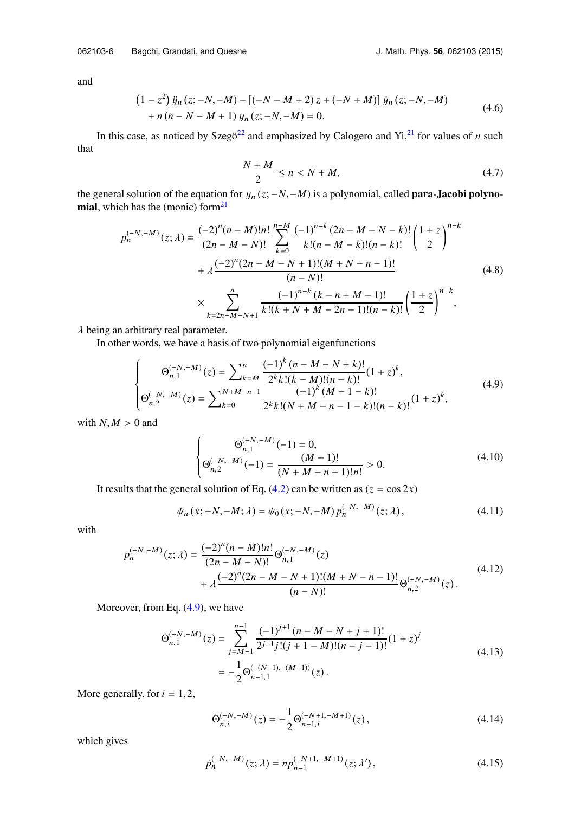and

$$
(1 - z2) \ddot{y}_n (z; -N, -M) - [(-N - M + 2) z + (-N + M)] \dot{y}_n (z; -N, -M)
$$
  
+  $n (n - N - M + 1) y_n (z; -N, -M) = 0.$  (4.6)

In this case, as noticed by Szegö<sup>[22](#page-12-14)</sup> and emphasized by Calogero and Yi, $^{21}$  $^{21}$  $^{21}$  for values of *n* such that

<span id="page-7-3"></span>
$$
\frac{N+M}{2} \le n < N+M,\tag{4.7}
$$

the general solution of the equation for  $y_n(z; -N, -M)$  is a polynomial, called **para-Jacobi polyno**mial, which has the (monic) form $21$ 

$$
p_n^{(-N,-M)}(z; \lambda) = \frac{(-2)^n (n-M)! n!}{(2n-M-N)!} \sum_{k=0}^{n-M} \frac{(-1)^{n-k} (2n-M-N-k)!}{k!(n-M-k)!(n-k)!} \left(\frac{1+z}{2}\right)^{n-k} + \lambda \frac{(-2)^n (2n-M-N+1)! (M+N-n-1)!}{(n-N)!} \times \sum_{k=2n-M-N+1}^n \frac{(-1)^{n-k} (k-n+M-1)!}{k!(k+N+M-2n-1)!(n-k)!} \left(\frac{1+z}{2}\right)^{n-k},
$$
\n(4.8)

 $\lambda$  being an arbitrary real parameter.

In other words, we have a basis of two polynomial eigenfunctions

$$
\begin{cases}\n\Theta_{n,1}^{(-N,-M)}(z) = \sum_{k=M}^{n} \frac{(-1)^{k} (n-M-N+k)!}{2^{k}k!(k-M)!(n-k)!} (1+z)^{k}, \\
\Theta_{n,2}^{(-N,-M)}(z) = \sum_{k=0}^{N+M-n-1} \frac{(-1)^{k} (M-1-k)!}{2^{k}k!(N+M-n-1-k)!(n-k)!} (1+z)^{k},\n\end{cases} (4.9)
$$

with  $N, M > 0$  and

<span id="page-7-1"></span><span id="page-7-0"></span>
$$
\begin{cases}\n\Theta_{n,1}^{(-N,-M)}(-1) = 0, \\
\Theta_{n,2}^{(-N,-M)}(-1) = \frac{(M-1)!}{(N+M-n-1)!n!} > 0.\n\end{cases}
$$
\n(4.10)

It results that the general solution of Eq.  $(4.2)$  can be written as  $(z = \cos 2x)$ 

$$
\psi_n(x; -N, -M; \lambda) = \psi_0(x; -N, -M) p_n^{(-N, -M)}(z; \lambda), \qquad (4.11)
$$

with

$$
p_n^{(-N,-M)}(z; \lambda) = \frac{(-2)^n (n-M)! n!}{(2n-M-N)!} \Theta_{n,1}^{(-N,-M)}(z) + \lambda \frac{(-2)^n (2n-M-N+1)! (M+N-n-1)!}{(n-N)!} \Theta_{n,2}^{(-N,-M)}(z).
$$
\n(4.12)

Moreover, from Eq. [\(4.9\),](#page-7-0) we have

$$
\begin{split} \dot{\Theta}_{n,1}^{(-N,-M)}(z) &= \sum_{j=M-1}^{n-1} \frac{(-1)^{j+1} \left(n - M - N + j + 1\right)!}{2^{j+1} j! (j+1-M)! (n-j-1)!} (1+z)^j \\ &= -\frac{1}{2} \Theta_{n-1,1}^{(-(N-1),-(M-1))}(z) \,. \end{split} \tag{4.13}
$$

More generally, for  $i = 1, 2$ ,

<span id="page-7-2"></span>
$$
\dot{\Theta}_{n,i}^{(-N,-M)}(z) = -\frac{1}{2} \Theta_{n-1,i}^{(-N+1,-M+1)}(z), \qquad (4.14)
$$

which gives

$$
p_n^{(-N,-M)}(z;\lambda) = np_{n-1}^{(-N+1,-M+1)}(z;\lambda'),\tag{4.15}
$$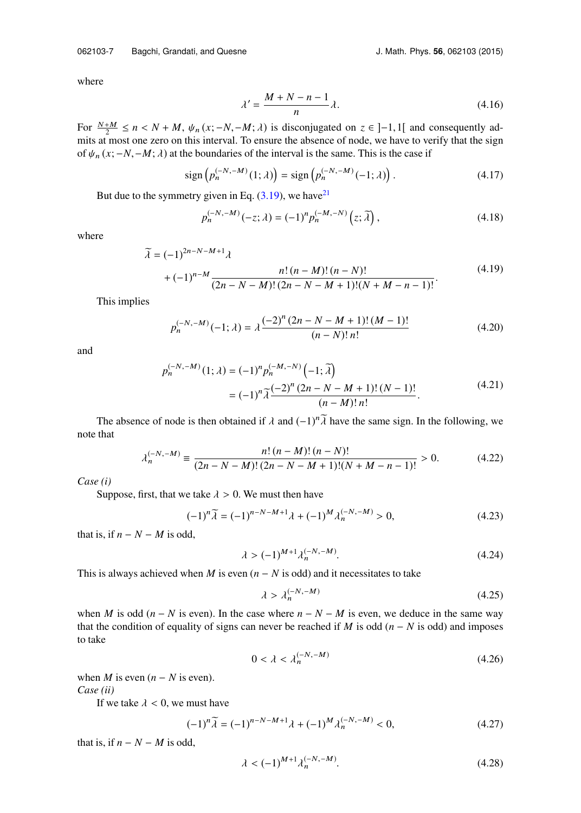where

<span id="page-8-0"></span>
$$
\lambda' = \frac{M + N - n - 1}{n} \lambda.
$$
\n(4.16)

For  $\frac{N+M}{2} \le n < N + M$ ,  $\psi_n(x; -N, -M; \lambda)$  is disconjugated on  $z \in ]-1,1[$  and consequently ad-<br>mits at most one zero on this interval. To ensure the absence of node, we have to verify that the sign mits at most one zero on this interval. To ensure the absence of node, we have to verify that the sign of  $\psi_n(x; -N, -M; \lambda)$  at the boundaries of the interval is the same. This is the case if

$$
\operatorname{sign}\left(p_n^{(-N,-M)}(1;\lambda)\right) = \operatorname{sign}\left(p_n^{(-N,-M)}(-1;\lambda)\right). \tag{4.17}
$$

But due to the symmetry given in Eq.  $(3.19)$ , we have<sup>[21](#page-12-13)</sup>

$$
p_n^{(-N,-M)}(-z;\lambda) = (-1)^n p_n^{(-M,-N)}(z;\tilde{\lambda}),
$$
\n(4.18)

where

$$
\widetilde{\lambda} = (-1)^{2n-N-M+1} \lambda + (-1)^{n-M} \frac{n! (n-M)! (n-N)!}{(2n-N-M)! (2n-N-M+1)! (N+M-n-1)!}.
$$
\n(4.19)

This implies

$$
p_n^{(-N,-M)}(-1;\lambda) = \lambda \frac{(-2)^n (2n - N - M + 1)!(M-1)!}{(n-N)!n!}
$$
\n(4.20)

and

$$
p_n^{(-N,-M)}(1;\lambda) = (-1)^n p_n^{(-M,-N)}(-1;\tilde{\lambda})
$$
  
=  $(-1)^n \tilde{\lambda} \frac{(-2)^n (2n-N-M+1)!(N-1)!}{(n-M)! n!}.$  (4.21)

The absence of node is then obtained if  $\lambda$  and  $(-1)^n \tilde{\lambda}$  have the same sign. In the following, we that note that

$$
\lambda_n^{(-N,-M)} \equiv \frac{n! \,(n-M)!\,(n-N)!}{(2n-N-M)!\,(2n-N-M+1)!(N+M-n-1)!} > 0. \tag{4.22}
$$

*Case (i)*

Suppose, first, that we take  $\lambda > 0$ . We must then have

$$
(-1)^n \widetilde{\lambda} = (-1)^{n-N-M+1} \lambda + (-1)^M \lambda_n^{(-N,-M)} > 0,\tag{4.23}
$$

that is, if  $n - N - M$  is odd,

$$
\lambda > (-1)^{M+1} \lambda_n^{(-N, -M)}.
$$
\n(4.24)

This is always achieved when *M* is even  $(n - N)$  is odd) and it necessitates to take

$$
\lambda > \lambda_n^{(-N, -M)} \tag{4.25}
$$

when *M* is odd ( $n - N$  is even). In the case where  $n - N - M$  is even, we deduce in the same way that the condition of equality of signs can never be reached if *M* is odd ( $n - N$  is odd) and imposes to take

$$
0 < \lambda < \lambda_n^{(-N, -M)}\tag{4.26}
$$

when *M* is even  $(n - N$  is even).

*Case (ii)*

If we take  $\lambda < 0$ , we must have

$$
(-1)^n \widetilde{\lambda} = (-1)^{n-N-M+1} \lambda + (-1)^M \lambda_n^{(-N,-M)} < 0,\tag{4.27}
$$

that is, if  $n - N - M$  is odd,

$$
\lambda < (-1)^{M+1} \lambda_n^{(-N, -M)}.
$$
\n(4.28)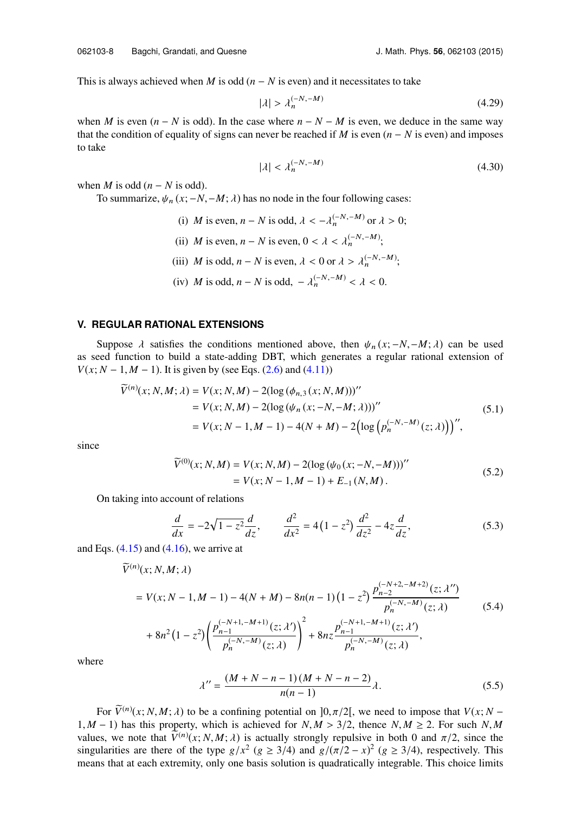This is always achieved when *M* is odd  $(n - N)$  is even) and it necessitates to take

$$
|\lambda| > \lambda_n^{(-N, -M)}\tag{4.29}
$$

when *M* is even  $(n - N)$  is odd). In the case where  $n - N - M$  is even, we deduce in the same way that the condition of equality of signs can never be reached if *M* is even  $(n - N)$  is even) and imposes to take

$$
|\lambda| < \lambda_n^{(-N, -M)} \tag{4.30}
$$

when *M* is odd  $(n - N \text{ is odd}).$ 

To summarize,  $\psi_n$  (*x*; −*N*,−*M*;  $\lambda$ ) has no node in the four following cases:

- (i) *M* is even, *n* − *N* is odd,  $\lambda < -\lambda_n^{(-N, -M)}$  or  $\lambda > 0$ ; (ii) *M* is even, *n* − *N* is even, 0 <  $\lambda$  <  $\lambda_n^{(-N,-M)}$ ; (iii) *M* is odd, *n* − *N* is even,  $\lambda$  < 0 or  $\lambda > \lambda_n^{(-N,-M)}$ ;
- (iv) *M* is odd, *n* − *N* is odd,  $-\lambda_n^{(-N,-M)} < \lambda < 0$ .

#### <span id="page-9-0"></span>**V. REGULAR RATIONAL EXTENSIONS**

*<sup>V</sup>*(n)

Suppose  $\lambda$  satisfies the conditions mentioned above, then  $\psi_n(x; -N, -M; \lambda)$  can be used as seed function to build a state-adding DBT, which generates a regular rational extension of *V*( $x$ ;  $N - 1$ ,  $M - 1$ ). It is given by (see Eqs. [\(2.6\)](#page-3-3) and [\(4.11\)\)](#page-7-1)

$$
\widetilde{V}^{(n)}(x; N, M; \lambda) = V(x; N, M) - 2(\log (\phi_{n,3}(x; N, M)))''
$$
  
=  $V(x; N, M) - 2(\log (\psi_n(x; -N, -M; \lambda)))''$   
=  $V(x; N - 1, M - 1) - 4(N + M) - 2(\log (p_n^{(-N, -M)}(z; \lambda)))'',$  (5.1)

since

$$
\widetilde{V}^{(0)}(x; N, M) = V(x; N, M) - 2(\log (\psi_0(x; -N, -M)))''
$$
  
=  $V(x; N - 1, M - 1) + E_{-1}(N, M)$ . (5.2)

On taking into account of relations

$$
\frac{d}{dx} = -2\sqrt{1-z^2}\frac{d}{dz}, \qquad \frac{d^2}{dx^2} = 4(1-z^2)\frac{d^2}{dz^2} - 4z\frac{d}{dz},
$$
\n(5.3)

and Eqs.  $(4.15)$  and  $(4.16)$ , we arrive at

$$
\widetilde{V}^{(n)}(x; N, M; \lambda)
$$
\n
$$
= V(x; N - 1, M - 1) - 4(N + M) - 8n(n - 1)(1 - z^{2}) \frac{p_{n-2}^{(-N+2, -M+2)}(z; \lambda'')}{p_{n}^{(-N, -M)}(z; \lambda)}
$$
\n
$$
+ 8n^{2}(1 - z^{2}) \left( \frac{p_{n-1}^{(-N+1, -M+1)}(z; \lambda')}{p_{n}^{(-N, -M)}(z; \lambda)} \right)^{2} + 8nz \frac{p_{n-1}^{(-N+1, -M+1)}(z; \lambda')}{p_{n}^{(-N, -M)}(z; \lambda)},
$$
\n(5.4)

where

$$
\lambda'' = \frac{(M+N-n-1)(M+N-n-2)}{n(n-1)}\lambda.
$$
\n(5.5)

For  $\tilde{V}^{(n)}(x; N, M; \lambda)$  to be a confining potential on  $]0, \pi/2[$ , we need to impose that  $V(x; N -$ 1, *M* − 1) has this property, which is achieved for  $N, M > 3/2$ , thence  $N, M \ge 2$ . For such  $N, M$ values, we note that  $V^{(n)}(x; N, M; \lambda)$  is actually strongly repulsive in both 0 and  $\pi/2$ , since the<br>singularities are there of the type  $g/r^2$  ( $g > 3/4$ ) and  $g/(\pi/2 - x)^2$  ( $g > 3/4$ ) respectively. This singularities are there of the type  $g/x^2$  ( $g \ge 3/4$ ) and  $g/(\pi/2 - x)^2$  ( $g \ge 3/4$ ), respectively. This means that at each extremity only one basis solution is quadratically integrable. This choice limits means that at each extremity, only one basis solution is quadratically integrable. This choice limits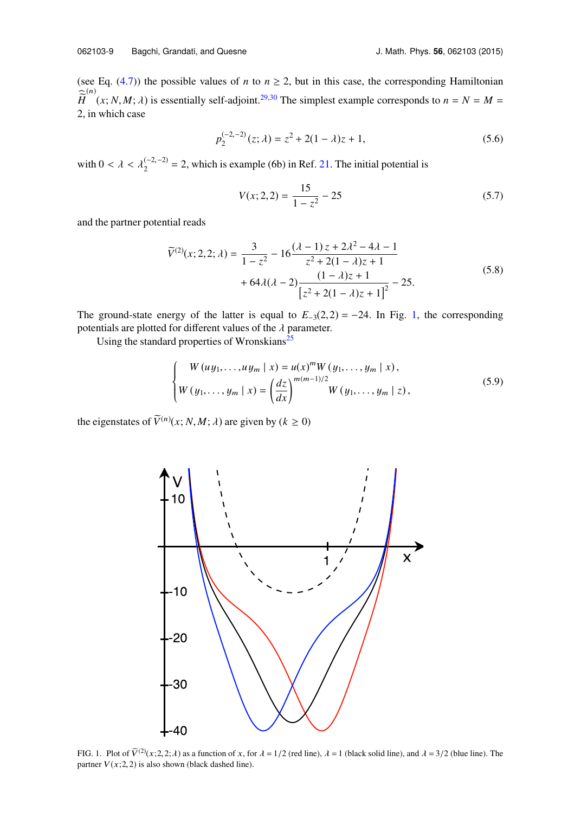(see Eq.  $(4.7)$ ) the possible values of *n* to  $n \ge 2$ , but in this case, the corresponding Hamiltonian  $\hat{H}^{(n)}(x; N, M; \lambda)$  is essentially self-adjoint.<sup>[29,](#page-12-22)[30](#page-12-23)</sup> The simplest example corresponds to  $n = N = M =$ <br>2 in which case 2, in which case

$$
p_2^{(-2,-2)}(z;\lambda) = z^2 + 2(1-\lambda)z + 1,\tag{5.6}
$$

with  $0 < \lambda < \lambda_2^{(-2,-2)} = 2$ , which is example (6b) in Ref. [21.](#page-12-13) The initial potential is

$$
V(x; 2, 2) = \frac{15}{1 - z^2} - 25\tag{5.7}
$$

and the partner potential reads

$$
\widetilde{V}^{(2)}(x; 2, 2; \lambda) = \frac{3}{1 - z^2} - 16 \frac{(\lambda - 1)z + 2\lambda^2 - 4\lambda - 1}{z^2 + 2(1 - \lambda)z + 1} + 64\lambda(\lambda - 2) \frac{(1 - \lambda)z + 1}{[z^2 + 2(1 - \lambda)z + 1]^2} - 25.
$$
\n(5.8)

The ground-state energy of the latter is equal to  $E_{-3}(2,2) = -24$ . In Fig. [1,](#page-10-0) the corresponding potentials are plotted for different values of the  $\lambda$  parameter.

Using the standard properties of Wronskians<sup>[25](#page-12-17)</sup>

$$
\begin{cases}\nW(u y_1, \dots, u y_m \mid x) = u(x)^m W(y_1, \dots, y_m \mid x), \\
W(y_1, \dots, y_m \mid x) = \left(\frac{dz}{dx}\right)^{m(m-1)/2} W(y_1, \dots, y_m \mid z),\n\end{cases} (5.9)
$$

<span id="page-10-0"></span>the eigenstates of  $\widetilde{V}^{(n)}(x; N, M; \lambda)$  are given by  $(k \ge 0)$ 



FIG. 1. Plot of  $\tilde{V}^{(2)}(x;2,2;\lambda)$  as a function of x, for  $\lambda = 1/2$  (red line),  $\lambda = 1$  (black solid line), and  $\lambda = 3/2$  (blue line). The partner  $V(x;2, 2)$  is also shown (black dashed line).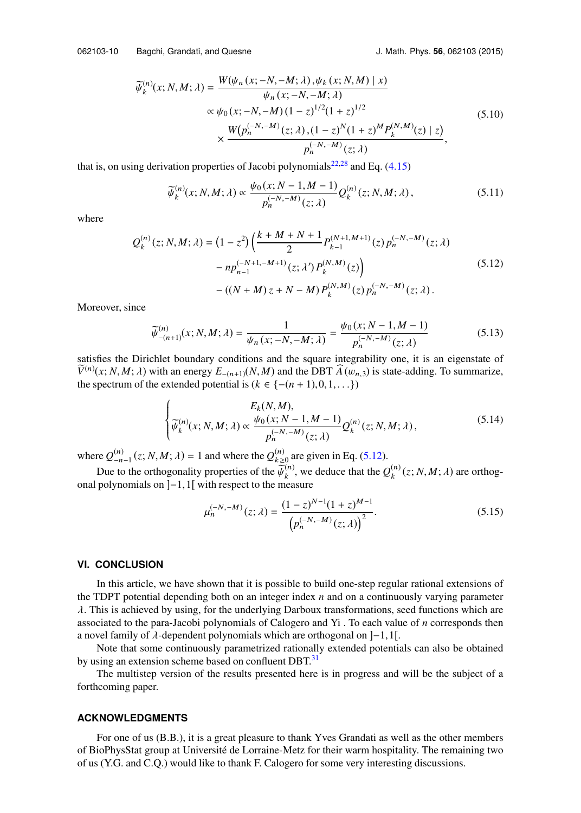$$
\widetilde{\psi}_{k}^{(n)}(x; N, M; \lambda) = \frac{W(\psi_{n}(x; -N, -M; \lambda), \psi_{k}(x; N, M) | x)}{\psi_{n}(x; -N, -M; \lambda)} \n\propto \psi_{0}(x; -N, -M)(1 - z)^{1/2}(1 + z)^{1/2} \n\times \frac{W(p_{n}^{(-N, -M)}(z; \lambda), (1 - z)^{N}(1 + z)^{M} P_{k}^{(N, M)}(z) | z)}{p_{n}^{(-N, -M)}(z; \lambda)},
$$
\n(5.10)

that is, on using derivation properties of Jacobi polynomials<sup>[22,](#page-12-14)[28](#page-12-21)</sup> and Eq.  $(4.15)$ 

<span id="page-11-1"></span>
$$
\widetilde{\psi}_{k}^{(n)}(x;N,M;\lambda) \propto \frac{\psi_0(x;N-1,M-1)}{p_n^{(-N,-M)}(z;\lambda)} Q_k^{(n)}(z;N,M;\lambda),\tag{5.11}
$$

where

$$
Q_k^{(n)}(z; N, M; \lambda) = (1 - z^2) \left( \frac{k + M + N + 1}{2} P_{k-1}^{(N+1, M+1)}(z) p_n^{(-N, -M)}(z; \lambda) - n p_{n-1}^{(-N+1, -M+1)}(z; \lambda') P_k^{(N, M)}(z) \right)
$$
(5.12)  
- ((N + M) z + N - M) P\_k^{(N, M)}(z) p\_n^{(-N, -M)}(z; \lambda).

Moreover, since

$$
\widetilde{\psi}^{(n)}_{-(n+1)}(x; N, M; \lambda) = \frac{1}{\psi_n(x; -N, -M; \lambda)} = \frac{\psi_0(x; N-1, M-1)}{p_n^{(-N, -M)}(z; \lambda)}
$$
\n(5.13)

\nsatisfies the Dirichlet boundary conditions and the square integrability one, it is an eigenstate of

 $\widetilde{V}^{(n)}(x; N, M; \lambda)$  with an energy  $E_{-(n+1)}(N, M)$  and the DBT  $\widetilde{A}(w_{n,3})$  is state-adding. To summarize, the spectrum of the extended potential is  $(k \in I-(n+1) \ 0 \ 1 \ \lambda)$ the spectrum of the extended potential is ( $k \in \{-(n+1), 0, 1, \ldots\}$ )

$$
\begin{cases}\nE_k(N,M), \\
\widetilde{\psi}_k^{(n)}(x;N,M;\lambda) \propto \frac{\psi_0(x;N-1,M-1)}{p_n^{(-N,-M)}(z;\lambda)} Q_k^{(n)}(z;N,M;\lambda),\n\end{cases} \tag{5.14}
$$

where  $Q_{-n}^{(n)}$  $\binom{n}{-n-1}$  (*z*; *N*, *M*; *λ*) = 1 and where the  $Q_{k}^{(n)}$  $\binom{n}{k \geq 0}$  are given in Eq. [\(5.12\).](#page-11-1)

Due to the orthogonality properties of the  $\widetilde{\psi}_k^{(n)}$ , we deduce that the  $Q_k^{(n)}$  polynomials on  $l-1$  if with respect to the measure  $\binom{n}{k}$  (*z*; *N*, *M*; *λ*) are orthogonal polynomials on ]−1,1[ with respect to the measure

$$
\mu_n^{(-N,-M)}(z;\lambda) = \frac{(1-z)^{N-1}(1+z)^{M-1}}{\left(p_n^{(-N,-M)}(z;\lambda)\right)^2}.
$$
\n(5.15)

#### <span id="page-11-0"></span>**VI. CONCLUSION**

In this article, we have shown that it is possible to build one-step regular rational extensions of the TDPT potential depending both on an integer index *n* and on a continuously varying parameter  $\lambda$ . This is achieved by using, for the underlying Darboux transformations, seed functions which are associated to the para-Jacobi polynomials of Calogero and Yi . To each value of *n* corresponds then a novel family of  $\lambda$ -dependent polynomials which are orthogonal on  $]-1,1[$ .

Note that some continuously parametrized rationally extended potentials can also be obtained by using an extension scheme based on confluent DBT.<sup>[31](#page-12-24)</sup>

The multistep version of the results presented here is in progress and will be the subject of a forthcoming paper.

#### **ACKNOWLEDGMENTS**

For one of us (B.B.), it is a great pleasure to thank Yves Grandati as well as the other members of BioPhysStat group at Université de Lorraine-Metz for their warm hospitality. The remaining two of us (Y.G. and C.Q.) would like to thank F. Calogero for some very interesting discussions.